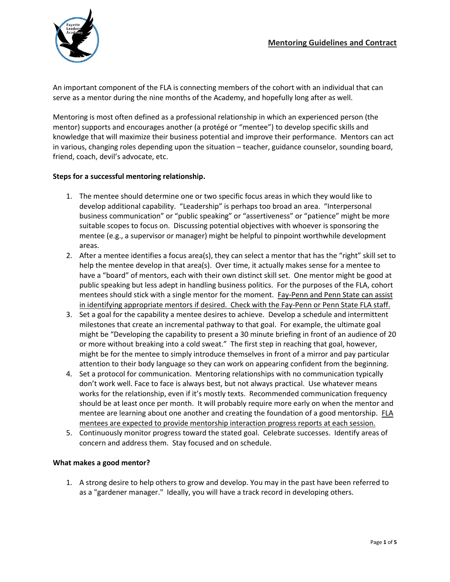

An important component of the FLA is connecting members of the cohort with an individual that can serve as a mentor during the nine months of the Academy, and hopefully long after as well.

Mentoring is most often defined as a professional relationship in which an experienced person (the mentor) supports and encourages another (a protégé or "mentee") to develop specific skills and knowledge that will maximize their business potential and improve their performance. Mentors can act in various, changing roles depending upon the situation – teacher, guidance counselor, sounding board, friend, coach, devil's advocate, etc.

## **Steps for a successful mentoring relationship.**

- 1. The mentee should determine one or two specific focus areas in which they would like to develop additional capability. "Leadership" is perhaps too broad an area. "Interpersonal business communication" or "public speaking" or "assertiveness" or "patience" might be more suitable scopes to focus on. Discussing potential objectives with whoever is sponsoring the mentee (e.g., a supervisor or manager) might be helpful to pinpoint worthwhile development areas.
- 2. After a mentee identifies a focus area(s), they can select a mentor that has the "right" skill set to help the mentee develop in that area(s). Over time, it actually makes sense for a mentee to have a "board" of mentors, each with their own distinct skill set. One mentor might be good at public speaking but less adept in handling business politics. For the purposes of the FLA, cohort mentees should stick with a single mentor for the moment. Fay-Penn and Penn State can assist in identifying appropriate mentors if desired. Check with the Fay-Penn or Penn State FLA staff.
- 3. Set a goal for the capability a mentee desires to achieve. Develop a schedule and intermittent milestones that create an incremental pathway to that goal. For example, the ultimate goal might be "Developing the capability to present a 30 minute briefing in front of an audience of 20 or more without breaking into a cold sweat." The first step in reaching that goal, however, might be for the mentee to simply introduce themselves in front of a mirror and pay particular attention to their body language so they can work on appearing confident from the beginning.
- 4. Set a protocol for communication. Mentoring relationships with no communication typically don't work well. Face to face is always best, but not always practical. Use whatever means works for the relationship, even if it's mostly texts. Recommended communication frequency should be at least once per month. It will probably require more early on when the mentor and mentee are learning about one another and creating the foundation of a good mentorship. FLA mentees are expected to provide mentorship interaction progress reports at each session.
- 5. Continuously monitor progress toward the stated goal. Celebrate successes. Identify areas of concern and address them. Stay focused and on schedule.

## **What makes a good mentor?**

1. A strong desire to help others to grow and develop. You may in the past have been referred to as a "gardener manager." Ideally, you will have a track record in developing others.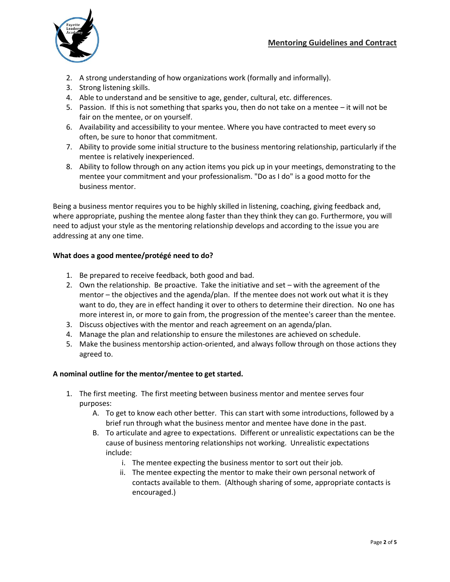

- 2. A strong understanding of how organizations work (formally and informally).
- 3. Strong listening skills.
- 4. Able to understand and be sensitive to age, gender, cultural, etc. differences.
- 5. Passion. If this is not something that sparks you, then do not take on a mentee it will not be fair on the mentee, or on yourself.
- 6. Availability and accessibility to your mentee. Where you have contracted to meet every so often, be sure to honor that commitment.
- 7. Ability to provide some initial structure to the business mentoring relationship, particularly if the mentee is relatively inexperienced.
- 8. Ability to follow through on any action items you pick up in your meetings, demonstrating to the mentee your commitment and your professionalism. "Do as I do" is a good motto for the business mentor.

Being a business mentor requires you to be highly skilled in listening, coaching, giving feedback and, where appropriate, pushing the mentee along faster than they think they can go. Furthermore, you will need to adjust your style as the mentoring relationship develops and according to the issue you are addressing at any one time.

## **What does a good mentee/protégé need to do?**

- 1. Be prepared to receive feedback, both good and bad.
- 2. Own the relationship. Be proactive. Take the initiative and set with the agreement of the mentor – the objectives and the agenda/plan. If the mentee does not work out what it is they want to do, they are in effect handing it over to others to determine their direction. No one has more interest in, or more to gain from, the progression of the mentee's career than the mentee.
- 3. Discuss objectives with the mentor and reach agreement on an agenda/plan.
- 4. Manage the plan and relationship to ensure the milestones are achieved on schedule.
- 5. Make the business mentorship action-oriented, and always follow through on those actions they agreed to.

## **A nominal outline for the mentor/mentee to get started.**

- 1. The first meeting. The first meeting between business mentor and mentee serves four purposes:
	- A. To get to know each other better. This can start with some introductions, followed by a brief run through what the business mentor and mentee have done in the past.
	- B. To articulate and agree to expectations. Different or unrealistic expectations can be the cause of business mentoring relationships not working. Unrealistic expectations include:
		- i. The mentee expecting the business mentor to sort out their job.
		- ii. The mentee expecting the mentor to make their own personal network of contacts available to them. (Although sharing of some, appropriate contacts is encouraged.)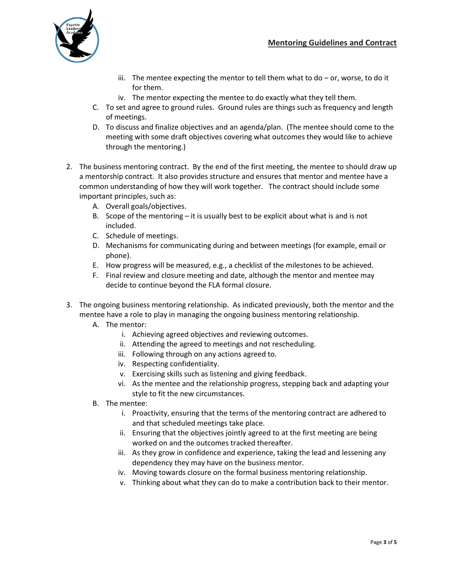

- iii. The mentee expecting the mentor to tell them what to  $do or$ , worse, to do it for them.
- iv. The mentor expecting the mentee to do exactly what they tell them.
- C. To set and agree to ground rules. Ground rules are things such as frequency and length of meetings.
- D. To discuss and finalize objectives and an agenda/plan. (The mentee should come to the meeting with some draft objectives covering what outcomes they would like to achieve through the mentoring.)
- 2. The business mentoring contract. By the end of the first meeting, the mentee to should draw up a mentorship contract. It also provides structure and ensures that mentor and mentee have a common understanding of how they will work together. The contract should include some important principles, such as:
	- A. Overall goals/objectives.
	- B. Scope of the mentoring it is usually best to be explicit about what is and is not included.
	- C. Schedule of meetings.
	- D. Mechanisms for communicating during and between meetings (for example, email or phone).
	- E. How progress will be measured, e.g., a checklist of the milestones to be achieved.
	- F. Final review and closure meeting and date, although the mentor and mentee may decide to continue beyond the FLA formal closure.
- 3. The ongoing business mentoring relationship. As indicated previously, both the mentor and the mentee have a role to play in managing the ongoing business mentoring relationship.
	- A. The mentor:
		- i. Achieving agreed objectives and reviewing outcomes.
		- ii. Attending the agreed to meetings and not rescheduling.
		- iii. Following through on any actions agreed to.
		- iv. Respecting confidentiality.
		- v. Exercising skills such as listening and giving feedback.
		- vi. As the mentee and the relationship progress, stepping back and adapting your style to fit the new circumstances.
	- B. The mentee:
		- i. Proactivity, ensuring that the terms of the mentoring contract are adhered to and that scheduled meetings take place.
		- ii. Ensuring that the objectives jointly agreed to at the first meeting are being worked on and the outcomes tracked thereafter.
		- iii. As they grow in confidence and experience, taking the lead and lessening any dependency they may have on the business mentor.
		- iv. Moving towards closure on the formal business mentoring relationship.
		- v. Thinking about what they can do to make a contribution back to their mentor.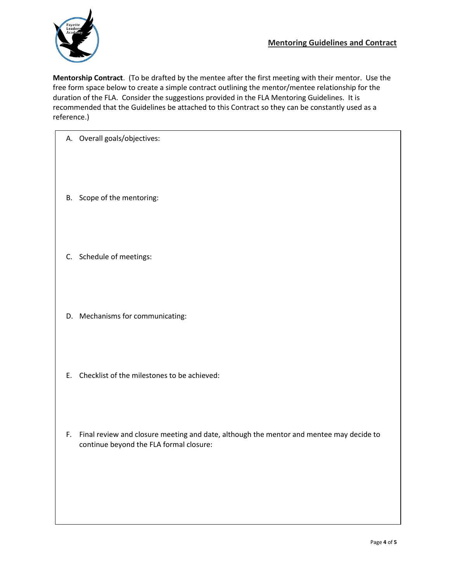

**Mentorship Contract**. (To be drafted by the mentee after the first meeting with their mentor. Use the free form space below to create a simple contract outlining the mentor/mentee relationship for the duration of the FLA. Consider the suggestions provided in the FLA Mentoring Guidelines. It is recommended that the Guidelines be attached to this Contract so they can be constantly used as a reference.)

| A. Overall goals/objectives: |
|------------------------------|
|                              |

- B. Scope of the mentoring:
- C. Schedule of meetings:
- D. Mechanisms for communicating:
- E. Checklist of the milestones to be achieved:
- F. Final review and closure meeting and date, although the mentor and mentee may decide to continue beyond the FLA formal closure: